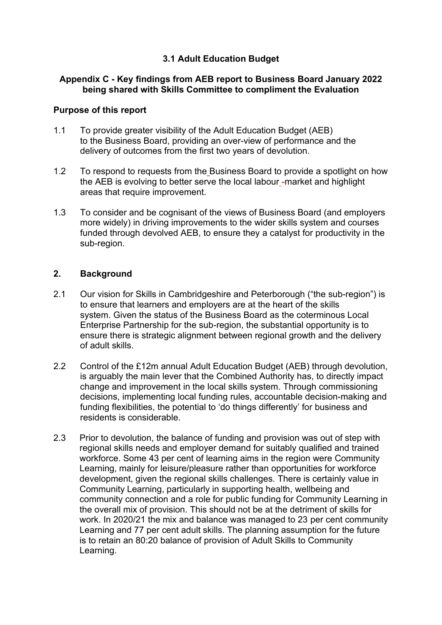## **3.1 Adult Education Budget**

### **Appendix C - Key findings from AEB report to Business Board January 2022 being shared with Skills Committee to compliment the Evaluation**

### **Purpose of this report**

- 1.1 To provide greater visibility of the Adult Education Budget (AEB) to the Business Board, providing an over-view of performance and the delivery of outcomes from the first two years of devolution.
- 1.2 To respond to requests from the Business Board to provide a spotlight on how the AEB is evolving to better serve the local labour - market and highlight areas that require improvement.
- 1.3 To consider and be cognisant of the views of Business Board (and employers more widely) in driving improvements to the wider skills system and courses funded through devolved AEB, to ensure they a catalyst for productivity in the sub-region.

## **2. Background**

- 2.1 Our vision for Skills in Cambridgeshire and Peterborough ("the sub-region") is to ensure that learners and employers are at the heart of the skills system. Given the status of the Business Board as the coterminous Local Enterprise Partnership for the sub-region, the substantial opportunity is to ensure there is strategic alignment between regional growth and the delivery of adult skills.
- 2.2 Control of the £12m annual Adult Education Budget (AEB) through devolution, is arguably the main lever that the Combined Authority has, to directly impact change and improvement in the local skills system. Through commissioning decisions, implementing local funding rules, accountable decision-making and funding flexibilities, the potential to 'do things differently' for business and residents is considerable.
- 2.3 Prior to devolution, the balance of funding and provision was out of step with regional skills needs and employer demand for suitably qualified and trained workforce. Some 43 per cent of learning aims in the region were Community Learning, mainly for leisure/pleasure rather than opportunities for workforce development, given the regional skills challenges. There is certainly value in Community Learning, particularly in supporting health, wellbeing and community connection and a role for public funding for Community Learning in the overall mix of provision. This should not be at the detriment of skills for work. In 2020/21 the mix and balance was managed to 23 per cent community Learning and 77 per cent adult skills. The planning assumption for the future is to retain an 80:20 balance of provision of Adult Skills to Community Learning.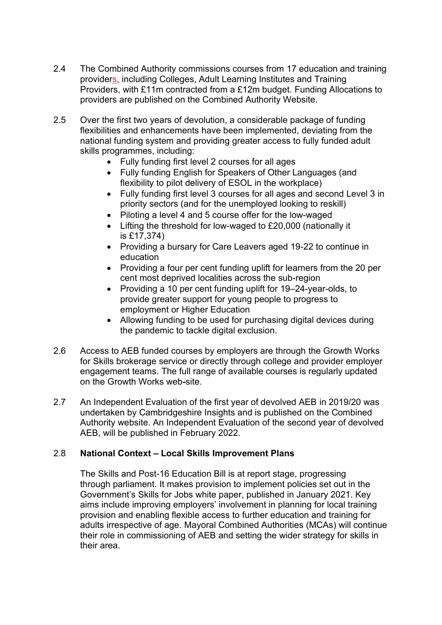- 2.4 The Combined Authority commissions courses from 17 education and training providers, including Colleges, Adult Learning Institutes and Training Providers, with £11m contracted from a £12m budget. Funding Allocations to providers are published on the Combined Authority Website.
- 2.5 Over the first two years of devolution, a considerable package of funding flexibilities and enhancements have been implemented, deviating from the national funding system and providing greater access to fully funded adult skills programmes, including:
	- Fully funding first level 2 courses for all ages
	- Fully funding English for Speakers of Other Languages (and flexibility to pilot delivery of ESOL in the workplace)
	- Fully funding first level 3 courses for all ages and second Level 3 in priority sectors (and for the unemployed looking to reskill)
	- Piloting a level 4 and 5 course offer for the low-waged
	- Lifting the threshold for low-waged to £20,000 (nationally it is £17,374)
	- Providing a bursary for Care Leavers aged 19-22 to continue in education
	- Providing a four per cent funding uplift for learners from the 20 per cent most deprived localities across the sub-region
	- Providing a 10 per cent funding uplift for 19–24-year-olds, to provide greater support for young people to progress to employment or Higher Education
	- Allowing funding to be used for purchasing digital devices during the pandemic to tackle digital exclusion.
- 2.6 Access to AEB funded courses by employers are through the Growth Works for Skills brokerage service or directly through college and provider employer engagement teams. The full range of available courses is regularly updated on the Growth Works web-site.
- 2.7 An Independent Evaluation of the first year of devolved AEB in 2019/20 was undertaken by Cambridgeshire Insights and is published on the Combined Authority website. An Independent Evaluation of the second year of devolved AEB, will be published in February 2022.

## 2.8 **National Context – Local Skills Improvement Plans**

The Skills and Post-16 Education Bill is at report stage, progressing through parliament. It makes provision to implement policies set out in the Government's Skills for Jobs white paper, published in January 2021. Key aims include improving employers' involvement in planning for local training provision and enabling flexible access to further education and training for adults irrespective of age. Mayoral Combined Authorities (MCAs) will continue their role in commissioning of AEB and setting the wider strategy for skills in their area.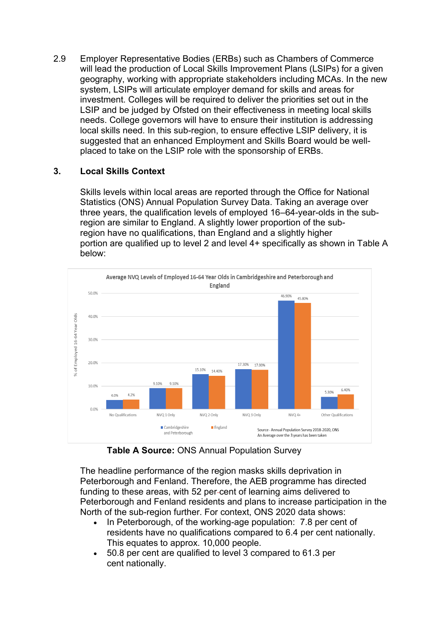2.9 Employer Representative Bodies (ERBs) such as Chambers of Commerce will lead the production of Local Skills Improvement Plans (LSIPs) for a given geography, working with appropriate stakeholders including MCAs. In the new system, LSIPs will articulate employer demand for skills and areas for investment. Colleges will be required to deliver the priorities set out in the LSIP and be judged by Ofsted on their effectiveness in meeting local skills needs. College governors will have to ensure their institution is addressing local skills need. In this sub-region, to ensure effective LSIP delivery, it is suggested that an enhanced Employment and Skills Board would be wellplaced to take on the LSIP role with the sponsorship of ERBs.

# **3. Local Skills Context**

Skills levels within local areas are reported through the Office for National Statistics (ONS) Annual Population Survey Data. Taking an average over three years, the qualification levels of employed 16–64-year-olds in the subregion are similar to England. A slightly lower proportion of the subregion have no qualifications, than England and a slightly higher portion are qualified up to level 2 and level 4+ specifically as shown in Table A below:



**Table A Source:** ONS Annual Population Survey

The headline performance of the region masks skills deprivation in Peterborough and Fenland. Therefore, the AEB programme has directed funding to these areas, with 52 per cent of learning aims delivered to Peterborough and Fenland residents and plans to increase participation in the North of the sub-region further. For context, ONS 2020 data shows:

- In Peterborough, of the working-age population: 7.8 per cent of residents have no qualifications compared to 6.4 per cent nationally. This equates to approx. 10,000 people.
- 50.8 per cent are qualified to level 3 compared to 61.3 per cent nationally.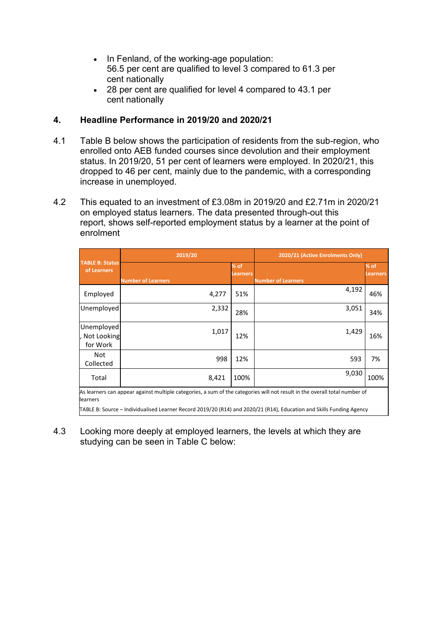- In Fenland, of the working-age population: 56.5 per cent are qualified to level 3 compared to 61.3 per cent nationally
- 28 per cent are qualified for level 4 compared to 43.1 per cent nationally

## **4. Headline Performance in 2019/20 and 2020/21**

- 4.1 Table B below shows the participation of residents from the sub-region, who enrolled onto AEB funded courses since devolution and their employment status. In 2019/20, 51 per cent of learners were employed. In 2020/21, this dropped to 46 per cent, mainly due to the pandemic, with a corresponding increase in unemployed.
- 4.2 This equated to an investment of £3.08m in 2019/20 and £2.71m in 2020/21 on employed status learners. The data presented through-out this report, shows self-reported employment status by a learner at the point of enrolment

|                                         | 2019/20                                                                                                                    | 2020/21 (Active Enrolments Only) |                           |                           |
|-----------------------------------------|----------------------------------------------------------------------------------------------------------------------------|----------------------------------|---------------------------|---------------------------|
| <b>TABLE B: Status</b><br>of Learners   | <b>Number of Learners</b>                                                                                                  | % of<br>Learners                 | <b>Number of Learners</b> | $%$ of<br><b>Learners</b> |
| Employed                                | 4,277                                                                                                                      | 51%                              | 4,192                     | 46%                       |
| Unemployed                              | 2,332                                                                                                                      | 28%                              | 3,051                     | 34%                       |
| Unemployed<br>, Not Looking<br>for Work | 1,017                                                                                                                      | 12%                              | 1,429                     | 16%                       |
| Not<br>Collected                        | 998                                                                                                                        | 12%                              | 593                       | 7%                        |
| Total                                   | 8,421                                                                                                                      | 100%                             | 9,030                     | 100%                      |
|                                         | As learners can appear against multiple categories, a sum of the categories will not result in the overall total number of |                                  |                           |                           |

learners

TABLE B: Source – Individualised Learner Record 2019/20 (R14) and 2020/21 (R14), Education and Skills Funding Agency

4.3 Looking more deeply at employed learners, the levels at which they are studying can be seen in Table C below: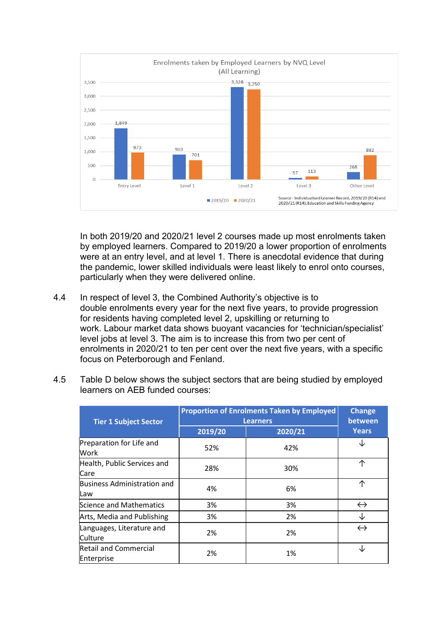

In both 2019/20 and 2020/21 level 2 courses made up most enrolments taken by employed learners. Compared to 2019/20 a lower proportion of enrolments were at an entry level, and at level 1. There is anecdotal evidence that during the pandemic, lower skilled individuals were least likely to enrol onto courses, particularly when they were delivered online.

4.4 In respect of level 3, the Combined Authority's objective is to double enrolments every year for the next five years, to provide progression for residents having completed level 2, upskilling or returning to work. Labour market data shows buoyant vacancies for 'technician/specialist' level jobs at level 3. The aim is to increase this from two per cent of enrolments in 2020/21 to ten per cent over the next five years, with a specific focus on Peterborough and Fenland.

| <b>Tier 1 Subject Sector</b>               | <b>Proportion of Enrolments Taken by Employed</b><br><b>Learners</b> | <b>Change</b><br>between |                   |
|--------------------------------------------|----------------------------------------------------------------------|--------------------------|-------------------|
|                                            | 2019/20                                                              | 2020/21                  | <b>Years</b>      |
| Preparation for Life and<br>Work           | 52%                                                                  | 42%                      | Jz                |
| Health, Public Services and<br>Care        | 28%                                                                  | 30%                      | 个                 |
| Business Administration and<br><b>L</b> aw | 4%                                                                   | 6%                       | 个                 |
| Science and Mathematics                    | 3%                                                                   | 3%                       | $\leftrightarrow$ |
| Arts, Media and Publishing                 | 3%                                                                   | 2%                       | J                 |
| Languages, Literature and<br>lCulture      | 2%                                                                   | 2%                       | $\leftrightarrow$ |
| <b>Retail and Commercial</b><br>Enterprise | 2%                                                                   | 1%                       | J                 |

4.5 Table D below shows the subject sectors that are being studied by employed learners on AEB funded courses: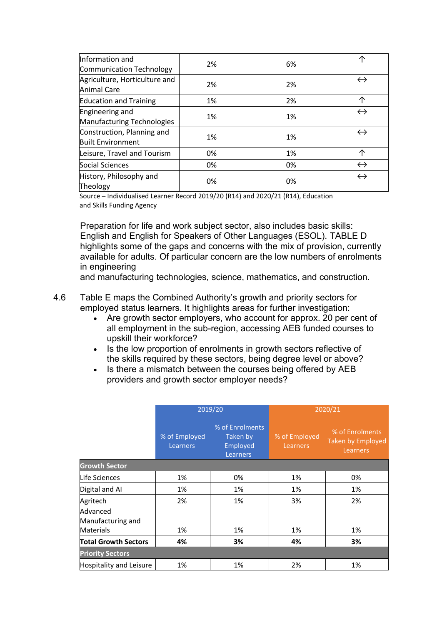| Information and<br>Communication Technology            | 2% | 6% | ᠰ                 |
|--------------------------------------------------------|----|----|-------------------|
| Agriculture, Horticulture and<br><b>Animal Care</b>    | 2% | 2% | $\leftrightarrow$ |
| <b>Education and Training</b>                          | 1% | 2% | 个                 |
| Engineering and<br>Manufacturing Technologies          | 1% | 1% | $\leftrightarrow$ |
| Construction, Planning and<br><b>Built Environment</b> | 1% | 1% | $\leftrightarrow$ |
| Leisure, Travel and Tourism                            | 0% | 1% | 个                 |
| Social Sciences                                        | 0% | 0% | $\leftrightarrow$ |
| History, Philosophy and<br>Theology                    | 0% | 0% | $\leftrightarrow$ |

Source – Individualised Learner Record 2019/20 (R14) and 2020/21 (R14), Education and Skills Funding Agency

Preparation for life and work subject sector, also includes basic skills: English and English for Speakers of Other Languages (ESOL). TABLE D highlights some of the gaps and concerns with the mix of provision, currently available for adults. Of particular concern are the low numbers of enrolments in engineering

and manufacturing technologies, science, mathematics, and construction.

#### 4.6 Table E maps the Combined Authority's growth and priority sectors for employed status learners. It highlights areas for further investigation:

- Are growth sector employers, who account for approx. 20 per cent of all employment in the sub-region, accessing AEB funded courses to upskill their workforce?
- Is the low proportion of enrolments in growth sectors reflective of the skills required by these sectors, being degree level or above?
- Is there a mismatch between the courses being offered by AEB providers and growth sector employer needs?

|                                                   | 2019/20                          |                                                     | 2020/21                          |                                                         |
|---------------------------------------------------|----------------------------------|-----------------------------------------------------|----------------------------------|---------------------------------------------------------|
|                                                   | % of Employed<br><b>Learners</b> | % of Enrolments<br>Taken by<br>Employed<br>Learners | % of Employed<br><b>Learners</b> | % of Enrolments<br><b>Taken by Employed</b><br>Learners |
| <b>Growth Sector</b>                              |                                  |                                                     |                                  |                                                         |
| Life Sciences                                     | 1%                               | 0%                                                  | 1%                               | 0%                                                      |
| Digital and AI                                    | 1%                               | 1%                                                  | 1%                               | 1%                                                      |
| Agritech                                          | 2%                               | 1%                                                  | 3%                               | 2%                                                      |
| Advanced<br>Manufacturing and<br><b>Materials</b> | 1%                               | 1%                                                  | 1%                               | 1%                                                      |
| <b>Total Growth Sectors</b>                       | 4%                               | 3%                                                  | 4%                               | 3%                                                      |
| <b>Priority Sectors</b>                           |                                  |                                                     |                                  |                                                         |
| <b>Hospitality and Leisure</b>                    | 1%                               | 1%                                                  | 2%                               | 1%                                                      |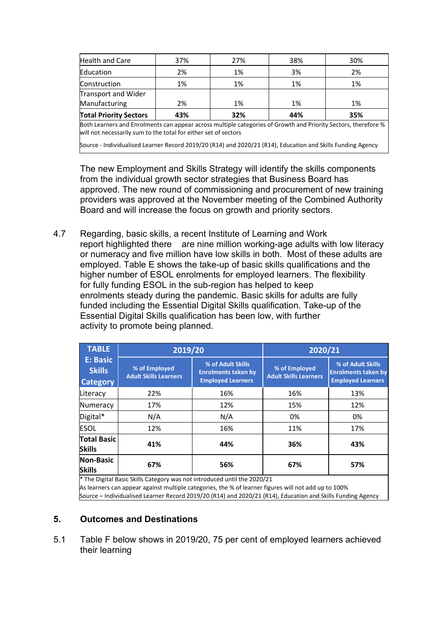| <b>Total Priority Sectors</b> | 43% | 32% | 44% | 35% |
|-------------------------------|-----|-----|-----|-----|
| Manufacturing                 | 2%  | 1%  | 1%  | 1%  |
| Transport and Wider           |     |     |     |     |
| Construction                  | 1%  | 1%  | 1%  | 1%  |
| Education                     | 2%  | 1%  | 3%  | 2%  |
| Health and Care               | 37% | 27% | 38% | 30% |

Both Learners and Enrolments can appear across multiple categories of Growth and Priority Sectors, therefore % will not necessarily sum to the total for either set of sectors

Source - Individualised Learner Record 2019/20 (R14) and 2020/21 (R14), Education and Skills Funding Agency

The new Employment and Skills Strategy will identify the skills components from the individual growth sector strategies that Business Board has approved. The new round of commissioning and procurement of new training providers was approved at the November meeting of the Combined Authority Board and will increase the focus on growth and priority sectors.

4.7 Regarding, basic skills, a recent Institute of Learning and Work report highlighted there are nine million working-age adults with low literacy or numeracy and five million have low skills in both. Most of these adults are employed. Table E shows the take-up of basic skills qualifications and the higher number of ESOL enrolments for employed learners. The flexibility for fully funding ESOL in the sub-region has helped to keep enrolments steady during the pandemic. Basic skills for adults are fully funded including the Essential Digital Skills qualification. Take-up of the Essential Digital Skills qualification has been low, with further activity to promote being planned.

| <b>TABLE</b>                                                             | 2019/20                                       |                                                                             | 2020/21                                       |                                                                             |
|--------------------------------------------------------------------------|-----------------------------------------------|-----------------------------------------------------------------------------|-----------------------------------------------|-----------------------------------------------------------------------------|
| <b>E: Basic</b><br><b>Skills</b><br><b>Category</b>                      | % of Employed<br><b>Adult Skills Learners</b> | % of Adult Skills<br><b>Enrolments taken by</b><br><b>Employed Learners</b> | % of Employed<br><b>Adult Skills Learners</b> | % of Adult Skills<br><b>Enrolments taken by</b><br><b>Employed Learners</b> |
| Literacy                                                                 | 22%                                           | 16%                                                                         | 16%                                           | 13%                                                                         |
| Numeracy                                                                 | 17%                                           | 12%                                                                         | 15%                                           | 12%                                                                         |
| Digital*                                                                 | N/A                                           | N/A                                                                         | 0%                                            | 0%                                                                          |
| <b>ESOL</b>                                                              | 12%                                           | 16%                                                                         | 11%                                           | 17%                                                                         |
| <b>Total Basic</b><br><b>Skills</b>                                      | 41%                                           | 44%                                                                         | 36%                                           | 43%                                                                         |
| <b>Non-Basic</b><br><b>Skills</b>                                        | 67%                                           | 56%                                                                         | 67%                                           | 57%                                                                         |
| * The Digital Basic Skills Category was not introduced until the 2020/21 |                                               |                                                                             |                                               |                                                                             |

\* The Digital Basic Skills Category was not introduced until the 2020/21

As learners can appear against multiple categories, the % of learner figures will not add up to 100%

Source – Individualised Learner Record 2019/20 (R14) and 2020/21 (R14), Education and Skills Funding Agency

### **5. Outcomes and Destinations**

5.1 Table F below shows in 2019/20, 75 per cent of employed learners achieved their learning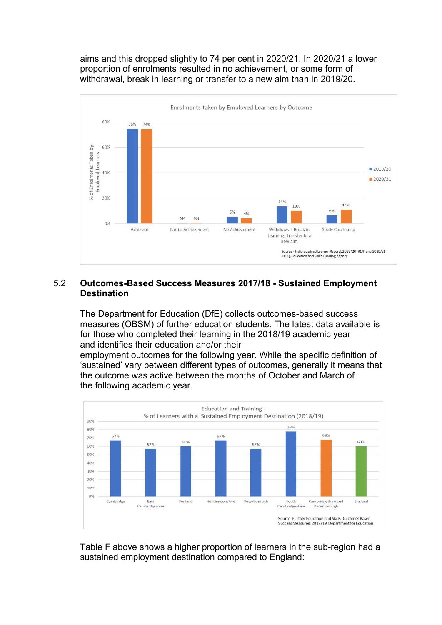aims and this dropped slightly to 74 per cent in 2020/21. In 2020/21 a lower proportion of enrolments resulted in no achievement, or some form of withdrawal, break in learning or transfer to a new aim than in 2019/20.



#### 5.2 **Outcomes-Based Success Measures 2017/18 - Sustained Employment Destination**

The Department for Education (DfE) collects outcomes-based success measures (OBSM) of further education students. The latest data available is for those who completed their learning in the 2018/19 academic year and identifies their education and/or their

employment outcomes for the following year. While the specific definition of 'sustained' vary between different types of outcomes, generally it means that the outcome was active between the months of October and March of the following academic year.



Table F above shows a higher proportion of learners in the sub-region had a sustained employment destination compared to England: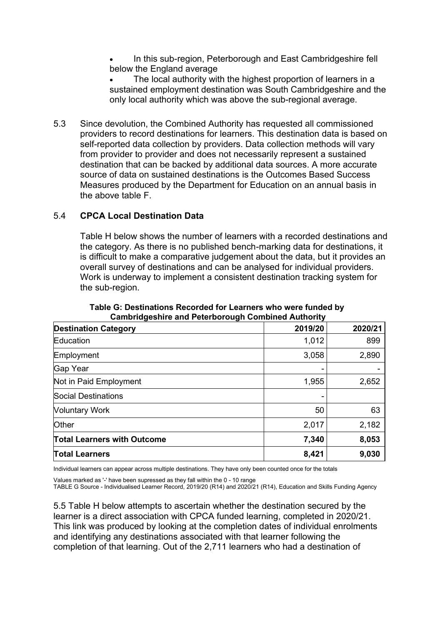In this sub-region, Peterborough and East Cambridgeshire fell below the England average

The local authority with the highest proportion of learners in a sustained employment destination was South Cambridgeshire and the only local authority which was above the sub-regional average.

5.3 Since devolution, the Combined Authority has requested all commissioned providers to record destinations for learners. This destination data is based on self-reported data collection by providers. Data collection methods will vary from provider to provider and does not necessarily represent a sustained destination that can be backed by additional data sources. A more accurate source of data on sustained destinations is the Outcomes Based Success Measures produced by the Department for Education on an annual basis in the above table F.

### 5.4 **CPCA Local Destination Data**

Table H below shows the number of learners with a recorded destinations and the category. As there is no published bench-marking data for destinations, it is difficult to make a comparative judgement about the data, but it provides an overall survey of destinations and can be analysed for individual providers. Work is underway to implement a consistent destination tracking system for the sub-region.

| <b>Destination Category</b>        | 2019/20 | 2020/21 |
|------------------------------------|---------|---------|
| Education                          | 1,012   | 899     |
| Employment                         | 3,058   | 2,890   |
| Gap Year                           |         |         |
| Not in Paid Employment             | 1,955   | 2,652   |
| Social Destinations                |         |         |
| <b>Voluntary Work</b>              | 50      | 63      |
| <b>Other</b>                       | 2,017   | 2,182   |
| <b>Total Learners with Outcome</b> | 7,340   | 8,053   |
| <b>Total Learners</b>              | 8,421   | 9,030   |

**Table G: Destinations Recorded for Learners who were funded by Cambridgeshire and Peterborough Combined Authority**

Individual learners can appear across multiple destinations. They have only been counted once for the totals

TABLE G Source - Individualised Learner Record, 2019/20 (R14) and 2020/21 (R14), Education and Skills Funding Agency

5.5 Table H below attempts to ascertain whether the destination secured by the learner is a direct association with CPCA funded learning, completed in 2020/21. This link was produced by looking at the completion dates of individual enrolments and identifying any destinations associated with that learner following the completion of that learning. Out of the 2,711 learners who had a destination of

Values marked as '-' have been supressed as they fall within the 0 - 10 range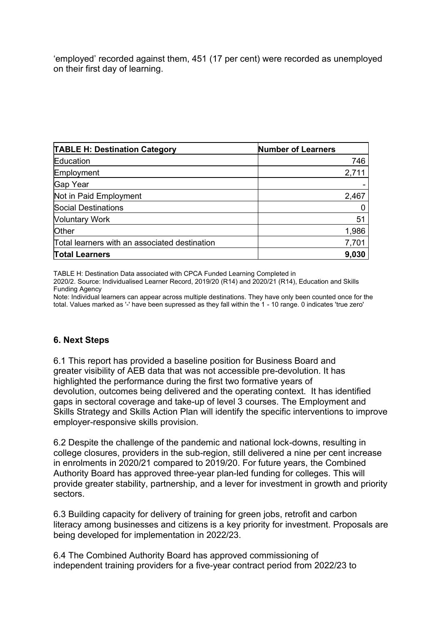'employed' recorded against them, 451 (17 per cent) were recorded as unemployed on their first day of learning.

| <b>TABLE H: Destination Category</b>          | <b>Number of Learners</b> |
|-----------------------------------------------|---------------------------|
| Education                                     | 746                       |
| Employment                                    | 2,711                     |
| Gap Year                                      |                           |
| Not in Paid Employment                        | 2,467                     |
| Social Destinations                           |                           |
| <b>Voluntary Work</b>                         | 51                        |
| <b>Other</b>                                  | 1,986                     |
| Total learners with an associated destination | 7,701                     |
| <b>Total Learners</b>                         | 9,030                     |

TABLE H: Destination Data associated with CPCA Funded Learning Completed in

2020/2. Source: Individualised Learner Record, 2019/20 (R14) and 2020/21 (R14), Education and Skills Funding Agency

Note: Individual learners can appear across multiple destinations. They have only been counted once for the total. Values marked as '-' have been supressed as they fall within the 1 - 10 range. 0 indicates 'true zero'

### **6. Next Steps**

6.1 This report has provided a baseline position for Business Board and greater visibility of AEB data that was not accessible pre-devolution. It has highlighted the performance during the first two formative years of devolution, outcomes being delivered and the operating context. It has identified gaps in sectoral coverage and take-up of level 3 courses. The Employment and Skills Strategy and Skills Action Plan will identify the specific interventions to improve employer-responsive skills provision.

6.2 Despite the challenge of the pandemic and national lock-downs, resulting in college closures, providers in the sub-region, still delivered a nine per cent increase in enrolments in 2020/21 compared to 2019/20. For future years, the Combined Authority Board has approved three-year plan-led funding for colleges. This will provide greater stability, partnership, and a lever for investment in growth and priority sectors.

6.3 Building capacity for delivery of training for green jobs, retrofit and carbon literacy among businesses and citizens is a key priority for investment. Proposals are being developed for implementation in 2022/23.

6.4 The Combined Authority Board has approved commissioning of independent training providers for a five-year contract period from 2022/23 to